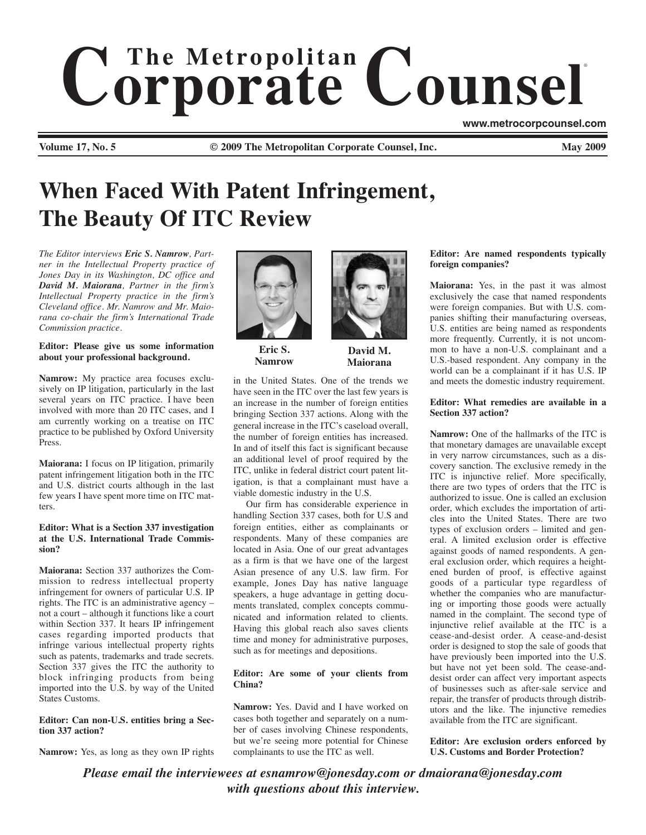# $$ ®

**Volume 17, No. 5 Cauca Colume 17, No. 5 May 2009 Commete Counsel, Inc.** May 2009

# **When Faced With Patent Infringement, The Beauty Of ITC Review**

*The Editor interviews Eric S. Namrow, Partner in the Intellectual Property practice of Jones Day in its Washington, DC office and David M. Maiorana, Partner in the firm's Intellectual Property practice in the firm's Cleveland office. Mr. Namrow and Mr. Maiorana co-chair the firm's International Trade Commission practice.*

## **Editor: Please give us some information about your professional background.**

**Namrow:** My practice area focuses exclusively on IP litigation, particularly in the last several years on ITC practice. I have been involved with more than 20 ITC cases, and I am currently working on a treatise on ITC practice to be published by Oxford University Press.

**Maiorana:** I focus on IP litigation, primarily patent infringement litigation both in the ITC and U.S. district courts although in the last few years I have spent more time on ITC matters.

#### **Editor: What is a Section 337 investigation at the U.S. International Trade Commission?**

**Maiorana:** Section 337 authorizes the Commission to redress intellectual property infringement for owners of particular U.S. IP rights. The ITC is an administrative agency – not a court – although it functions like a court within Section 337. It hears IP infringement cases regarding imported products that infringe various intellectual property rights such as patents, trademarks and trade secrets. Section 337 gives the ITC the authority to block infringing products from being imported into the U.S. by way of the United States Customs.

## **Editor: Can non-U.S. entities bring a Section 337 action?**

**Namrow:** Yes, as long as they own IP rights



**Eric S. Namrow**



**Maiorana**

in the United States. One of the trends we have seen in the ITC over the last few years is an increase in the number of foreign entities bringing Section 337 actions. Along with the general increase in the ITC's caseload overall, the number of foreign entities has increased. In and of itself this fact is significant because an additional level of proof required by the ITC, unlike in federal district court patent litigation, is that a complainant must have a viable domestic industry in the U.S.

Our firm has considerable experience in handling Section 337 cases, both for U.S and foreign entities, either as complainants or respondents. Many of these companies are located in Asia. One of our great advantages as a firm is that we have one of the largest Asian presence of any U.S. law firm. For example, Jones Day has native language speakers, a huge advantage in getting documents translated, complex concepts communicated and information related to clients. Having this global reach also saves clients time and money for administrative purposes, such as for meetings and depositions.

# **Editor: Are some of your clients from China?**

**Namrow:** Yes. David and I have worked on cases both together and separately on a number of cases involving Chinese respondents, but we're seeing more potential for Chinese complainants to use the ITC as well.

# **Editor: Are named respondents typically foreign companies?**

**www.metrocorpcounsel.com**

**Maiorana:** Yes, in the past it was almost exclusively the case that named respondents were foreign companies. But with U.S. companies shifting their manufacturing overseas, U.S. entities are being named as respondents more frequently. Currently, it is not uncommon to have a non-U.S. complainant and a U.S.-based respondent. Any company in the world can be a complainant if it has U.S. IP and meets the domestic industry requirement.

#### **Editor: What remedies are available in a Section 337 action?**

**Namrow:** One of the hallmarks of the ITC is that monetary damages are unavailable except in very narrow circumstances, such as a discovery sanction. The exclusive remedy in the ITC is injunctive relief. More specifically, there are two types of orders that the ITC is authorized to issue. One is called an exclusion order, which excludes the importation of articles into the United States. There are two types of exclusion orders – limited and general. A limited exclusion order is effective against goods of named respondents. A general exclusion order, which requires a heightened burden of proof, is effective against goods of a particular type regardless of whether the companies who are manufacturing or importing those goods were actually named in the complaint. The second type of injunctive relief available at the ITC is a cease-and-desist order. A cease-and-desist order is designed to stop the sale of goods that have previously been imported into the U.S. but have not yet been sold. The cease-anddesist order can affect very important aspects of businesses such as after-sale service and repair, the transfer of products through distributors and the like. The injunctive remedies available from the ITC are significant.

**Editor: Are exclusion orders enforced by U.S. Customs and Border Protection?**

*Please email the interviewees at esnamrow@jonesday.com or dmaiorana@jonesday.com with questions about this interview.*